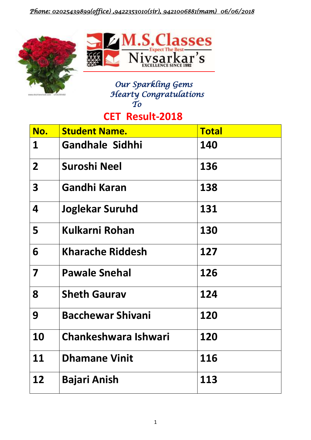## *Phone: 02025439899(office) ,9422353010(sir), 9421006881(mam) 06/06/2018*





#### *Our Sparkling Gems Hearty Congratulations To*

# **CET Result-2018**

| No.                     | <b>Student Name.</b>     | <b>Total</b> |
|-------------------------|--------------------------|--------------|
| 1                       | <b>Gandhale Sidhhi</b>   | 140          |
| 2 <sup>1</sup>          | Suroshi Neel             | 136          |
| $\overline{\mathbf{3}}$ | Gandhi Karan             | 138          |
| 4                       | <b>Joglekar Suruhd</b>   | 131          |
| 5                       | Kulkarni Rohan           | 130          |
| 6                       | <b>Kharache Riddesh</b>  | 127          |
| $\overline{\mathbf{7}}$ | <b>Pawale Snehal</b>     | 126          |
| 8                       | <b>Sheth Gaurav</b>      | 124          |
| 9                       | <b>Bacchewar Shivani</b> | 120          |
| 10                      | Chankeshwara Ishwari     | 120          |
| 11                      | <b>Dhamane Vinit</b>     | 116          |
| 12                      | <b>Bajari Anish</b>      | 113          |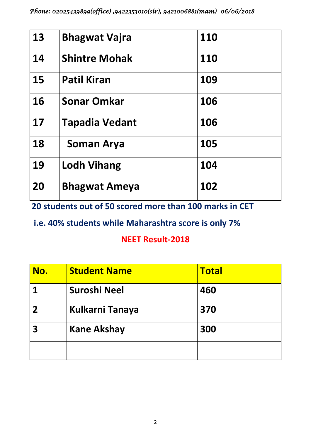| 13 | <b>Bhagwat Vajra</b> | 110 |
|----|----------------------|-----|
| 14 | <b>Shintre Mohak</b> | 110 |
| 15 | <b>Patil Kiran</b>   | 109 |
| 16 | <b>Sonar Omkar</b>   | 106 |
| 17 | Tapadia Vedant       | 106 |
| 18 | <b>Soman Arya</b>    | 105 |
| 19 | <b>Lodh Vihang</b>   | 104 |
| 20 | <b>Bhagwat Ameya</b> | 102 |

**20 students out of 50 scored more than 100 marks in CET** 

 **i.e. 40% students while Maharashtra score is only 7%** 

#### **NEET Result-2018**

| No. | <b>Student Name</b>    | <b>Total</b> |
|-----|------------------------|--------------|
|     | Suroshi Neel           | 460          |
|     | <b>Kulkarni Tanaya</b> | 370          |
| 3   | <b>Kane Akshay</b>     | 300          |
|     |                        |              |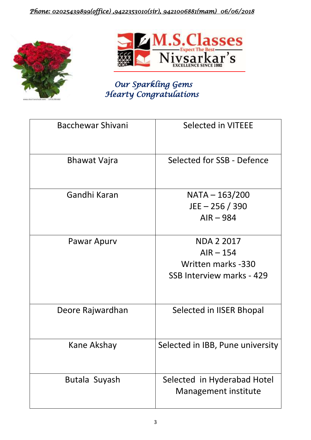## *Phone: 02025439899(office) ,9422353010(sir), 9421006881(mam) 06/06/2018*





# *Our Sparkling Gems Hearty Congratulations*

| <b>Bacchewar Shivani</b> | Selected in VITEEE                                                                  |
|--------------------------|-------------------------------------------------------------------------------------|
| Bhawat Vajra             | Selected for SSB - Defence                                                          |
| Gandhi Karan             | NATA - 163/200<br>$JEE - 256 / 390$<br>$AIR - 984$                                  |
| Pawar Apurv              | <b>NDA 2 2017</b><br>$AIR - 154$<br>Written marks -330<br>SSB Interview marks - 429 |
| Deore Rajwardhan         | Selected in IISER Bhopal                                                            |
| Kane Akshay              | Selected in IBB, Pune university                                                    |
| Butala Suyash            | Selected in Hyderabad Hotel<br><b>Management institute</b>                          |